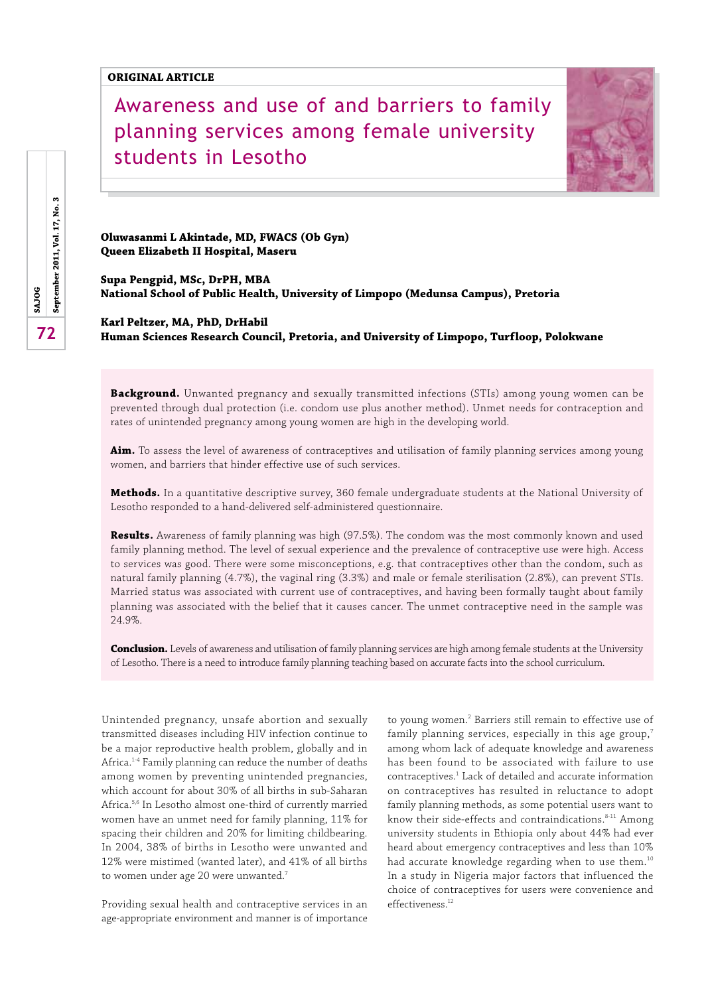# Awareness and use of and barriers to family planning services among female university students in Lesotho



**Oluwasanmi L Akintade, MD, FWACS (Ob Gyn) Queen Elizabeth II Hospital, Maseru**

**Supa Pengpid, MSc, DrPH, MBA National School of Public Health, University of Limpopo (Medunsa Campus), Pretoria**

**Karl Peltzer, MA, PhD, DrHabil Human Sciences Research Council, Pretoria, and University of Limpopo, Turfloop, Polokwane**

**Background.** Unwanted pregnancy and sexually transmitted infections (STIs) among young women can be prevented through dual protection (i.e. condom use plus another method). Unmet needs for contraception and rates of unintended pregnancy among young women are high in the developing world.

**Aim.** To assess the level of awareness of contraceptives and utilisation of family planning services among young women, and barriers that hinder effective use of such services.

**Methods.** In a quantitative descriptive survey, 360 female undergraduate students at the National University of Lesotho responded to a hand-delivered self-administered questionnaire.

**Results.** Awareness of family planning was high (97.5%). The condom was the most commonly known and used family planning method. The level of sexual experience and the prevalence of contraceptive use were high. Access to services was good. There were some misconceptions, e.g. that contraceptives other than the condom, such as natural family planning (4.7%), the vaginal ring (3.3%) and male or female sterilisation (2.8%), can prevent STIs. Married status was associated with current use of contraceptives, and having been formally taught about family planning was associated with the belief that it causes cancer. The unmet contraceptive need in the sample was 24.9%.

**Conclusion.** Levels of awareness and utilisation of family planning services are high among female students at the University of Lesotho. There is a need to introduce family planning teaching based on accurate facts into the school curriculum.

Unintended pregnancy, unsafe abortion and sexually transmitted diseases including HIV infection continue to be a major reproductive health problem, globally and in Africa.<sup>1-4</sup> Family planning can reduce the number of deaths among women by preventing unintended pregnancies, which account for about 30% of all births in sub-Saharan Africa.5,6 In Lesotho almost one-third of currently married women have an unmet need for family planning, 11% for spacing their children and 20% for limiting childbearing. In 2004, 38% of births in Lesotho were unwanted and 12% were mistimed (wanted later), and 41% of all births to women under age 20 were unwanted.<sup>7</sup>

Providing sexual health and contraceptive services in an age-appropriate environment and manner is of importance

to young women.<sup>2</sup> Barriers still remain to effective use of family planning services, especially in this age group, $^7$ among whom lack of adequate knowledge and awareness has been found to be associated with failure to use contraceptives.<sup>1</sup> Lack of detailed and accurate information on contraceptives has resulted in reluctance to adopt family planning methods, as some potential users want to know their side-effects and contraindications.<sup>8-11</sup> Among university students in Ethiopia only about 44% had ever heard about emergency contraceptives and less than 10% had accurate knowledge regarding when to use them.<sup>10</sup> In a study in Nigeria major factors that influenced the choice of contraceptives for users were convenience and  $eff$ effectiveness<sup> $12$ </sup>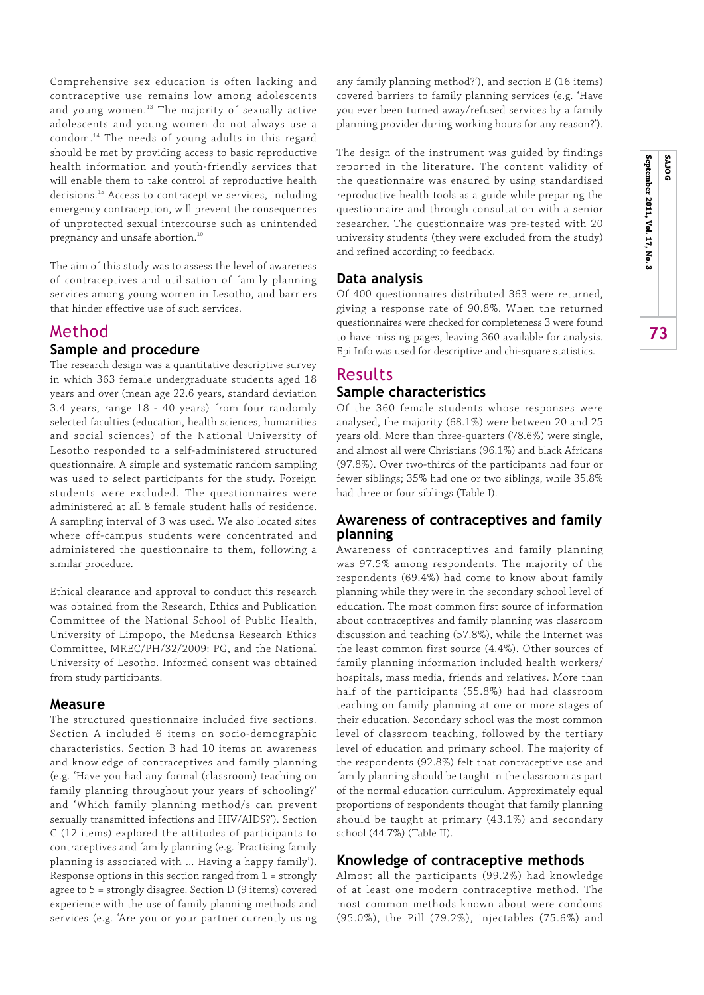Comprehensive sex education is often lacking and contraceptive use remains low among adolescents and young women.<sup>13</sup> The majority of sexually active adolescents and young women do not always use a condom.14 The needs of young adults in this regard should be met by providing access to basic reproductive health information and youth-friendly services that will enable them to take control of reproductive health decisions.15 Access to contraceptive services, including emergency contraception, will prevent the consequences of unprotected sexual intercourse such as unintended pregnancy and unsafe abortion.<sup>10</sup>

The aim of this study was to assess the level of awareness of contraceptives and utilisation of family planning services among young women in Lesotho, and barriers that hinder effective use of such services.

# Method

# **Sample and procedure**

The research design was a quantitative descriptive survey in which 363 female undergraduate students aged 18 years and over (mean age 22.6 years, standard deviation 3.4 years, range 18 - 40 years) from four randomly selected faculties (education, health sciences, humanities and social sciences) of the National University of Lesotho responded to a self-administered structured questionnaire. A simple and systematic random sampling was used to select participants for the study. Foreign students were excluded. The questionnaires were administered at all 8 female student halls of residence. A sampling interval of 3 was used. We also located sites where off-campus students were concentrated and administered the questionnaire to them, following a similar procedure.

Ethical clearance and approval to conduct this research was obtained from the Research, Ethics and Publication Committee of the National School of Public Health, University of Limpopo, the Medunsa Research Ethics Committee, MREC/PH/32/2009: PG, and the National University of Lesotho. Informed consent was obtained from study participants.

### **Measure**

The structured questionnaire included five sections. Section A included 6 items on socio-demographic characteristics. Section B had 10 items on awareness and knowledge of contraceptives and family planning (e.g. 'Have you had any formal (classroom) teaching on family planning throughout your years of schooling?' and 'Which family planning method/s can prevent sexually transmitted infections and HIV/AIDS?'). Section C (12 items) explored the attitudes of participants to contraceptives and family planning (e.g. 'Practising family planning is associated with … Having a happy family'). Response options in this section ranged from 1 = strongly agree to 5 = strongly disagree. Section D (9 items) covered experience with the use of family planning methods and services (e.g. 'Are you or your partner currently using

any family planning method?'), and section E (16 items) covered barriers to family planning services (e.g. 'Have you ever been turned away/refused services by a family planning provider during working hours for any reason?').

The design of the instrument was guided by findings reported in the literature. The content validity of the questionnaire was ensured by using standardised reproductive health tools as a guide while preparing the questionnaire and through consultation with a senior researcher. The questionnaire was pre-tested with 20 university students (they were excluded from the study) and refined according to feedback.

# **Data analysis**

Of 400 questionnaires distributed 363 were returned, giving a response rate of 90.8%. When the returned questionnaires were checked for completeness 3 were found to have missing pages, leaving 360 available for analysis. Epi Info was used for descriptive and chi-square statistics.

# Results **Sample characteristics**

### Of the 360 female students whose responses were analysed, the majority (68.1%) were between 20 and 25 years old. More than three-quarters (78.6%) were single, and almost all were Christians (96.1%) and black Africans (97.8%). Over two-thirds of the participants had four or fewer siblings; 35% had one or two siblings, while 35.8% had three or four siblings (Table I).

# **Awareness of contraceptives and family planning**

Awareness of contraceptives and family planning was 97.5% among respondents. The majority of the respondents (69.4%) had come to know about family planning while they were in the secondary school level of education. The most common first source of information about contraceptives and family planning was classroom discussion and teaching (57.8%), while the Internet was the least common first source (4.4%). Other sources of family planning information included health workers/ hospitals, mass media, friends and relatives. More than half of the participants (55.8%) had had classroom teaching on family planning at one or more stages of their education. Secondary school was the most common level of classroom teaching, followed by the tertiary level of education and primary school. The majority of the respondents (92.8%) felt that contraceptive use and family planning should be taught in the classroom as part of the normal education curriculum. Approximately equal proportions of respondents thought that family planning should be taught at primary (43.1%) and secondary school (44.7%) (Table II).

# **Knowledge of contraceptive methods**

Almost all the participants (99.2%) had knowledge of at least one modern contraceptive method. The most common methods known about were condoms (95.0%), the Pill (79.2%), injectables (75.6%) and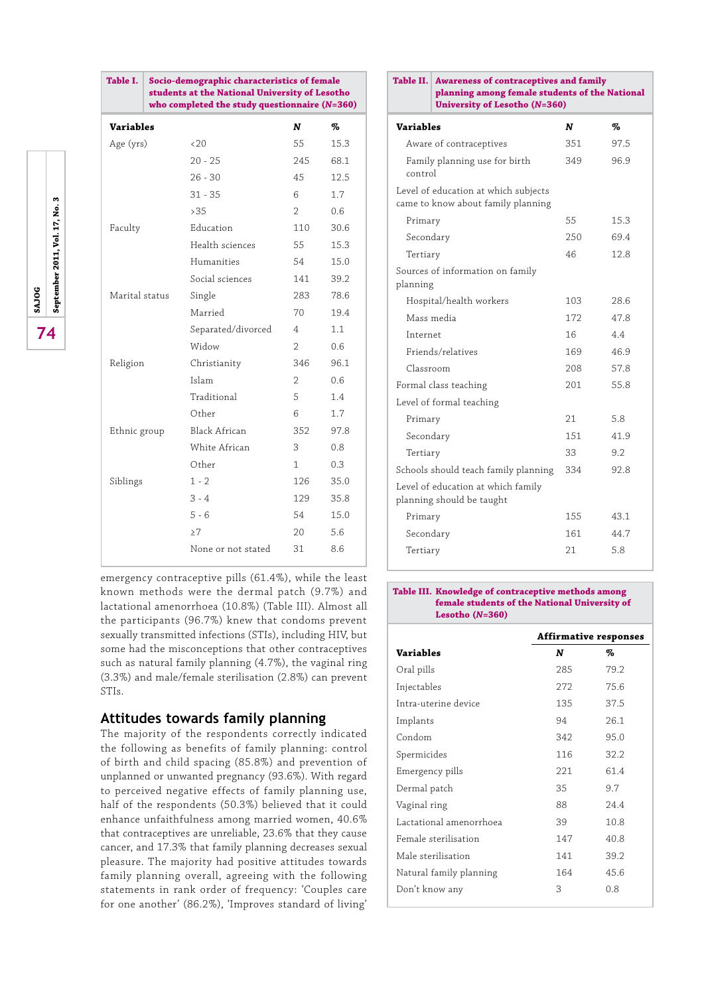|                  | students at the National University of Lesotho<br>who completed the study questionnaire $(N=360)$ |               |               |
|------------------|---------------------------------------------------------------------------------------------------|---------------|---------------|
| <b>Variables</b> |                                                                                                   | N             | %             |
| Age (yrs)        | <20                                                                                               | 55            | 15.3          |
|                  | $20 - 25$                                                                                         | 245           | 68.1          |
|                  | $26 - 30$                                                                                         | 45            | 12.5          |
|                  | $31 - 35$                                                                                         | 6             | 1.7           |
|                  | >35                                                                                               | $\mathcal{P}$ | $0.6^{\circ}$ |
| Faculty          | Education                                                                                         | 110           | 30.6          |
|                  | Health sciences                                                                                   | 55            | 15.3          |
|                  | Humanities                                                                                        | 54            | 15.0          |
|                  | Social sciences                                                                                   | 141           | 39.2          |
| Marital status   | Single                                                                                            | 283           | 78.6          |
|                  | Married                                                                                           | 70            | 19.4          |
|                  | Separated/divorced                                                                                | 4             | 1.1           |
|                  | Widow                                                                                             | $\mathcal{P}$ | 0.6           |
| Religion         | Christianity                                                                                      | 346           | 96.1          |
|                  | Islam                                                                                             | 2             | 0.6           |
|                  | Traditional                                                                                       | 5             | 1.4           |
|                  | Other                                                                                             | 6             | 1.7           |
| Ethnic group     | Black African                                                                                     | 352           | 97.8          |
|                  | White African                                                                                     | 3             | 0.8           |
|                  | Other                                                                                             | 1.            | 0.3           |
| Siblings         | $1 - 2$                                                                                           | 126           | 35.0          |
|                  | $3 - 4$                                                                                           | 129           | 35.8          |
|                  | $5 - 6$                                                                                           | 54            | 15.0          |
|                  | >7                                                                                                | 20            | 5.6           |
|                  | None or not stated                                                                                | 31            | 8.6           |
|                  |                                                                                                   |               |               |

**Table I. Socio-demographic characteristics of female** 

emergency contraceptive pills (61.4%), while the least known methods were the dermal patch (9.7%) and lactational amenorrhoea (10.8%) (Table III). Almost all the participants (96.7%) knew that condoms prevent sexually transmitted infections (STIs), including HIV, but some had the misconceptions that other contraceptives such as natural family planning (4.7%), the vaginal ring (3.3%) and male/female sterilisation (2.8%) can prevent STIs.

# **Attitudes towards family planning**

The majority of the respondents correctly indicated the following as benefits of family planning: control of birth and child spacing (85.8%) and prevention of unplanned or unwanted pregnancy (93.6%). With regard to perceived negative effects of family planning use, half of the respondents (50.3%) believed that it could enhance unfaithfulness among married women, 40.6% that contraceptives are unreliable, 23.6% that they cause cancer, and 17.3% that family planning decreases sexual pleasure. The majority had positive attitudes towards family planning overall, agreeing with the following statements in rank order of frequency: 'Couples care for one another' (86.2%), 'Improves standard of living'

| Table II.                | <b>Awareness of contraceptives and family</b><br>planning among female students of the National<br><b>University of Lesotho (N=360)</b> |      |      |
|--------------------------|-----------------------------------------------------------------------------------------------------------------------------------------|------|------|
| <b>Variables</b>         |                                                                                                                                         | N    | %    |
|                          | Aware of contraceptives                                                                                                                 | 351  | 97.5 |
| control                  | Family planning use for birth                                                                                                           | 349  | 96.9 |
|                          | Level of education at which subjects<br>came to know about family planning                                                              |      |      |
| Primary                  |                                                                                                                                         | 55   | 15.3 |
| Secondary                |                                                                                                                                         | 250  | 69.4 |
| Tertiary                 |                                                                                                                                         | 46   | 12.8 |
| planning                 | Sources of information on family                                                                                                        |      |      |
|                          | Hospital/health workers                                                                                                                 | 103  | 28.6 |
| Mass media               |                                                                                                                                         | 172  | 478  |
| Internet                 |                                                                                                                                         | 16   | 4.4  |
|                          | Friends/relatives                                                                                                                       | 169  | 46.9 |
| Classroom                |                                                                                                                                         | 208  | 57.8 |
|                          | Formal class teaching                                                                                                                   | 201  | 55.8 |
| Level of formal teaching |                                                                                                                                         |      |      |
| Primary                  |                                                                                                                                         | 21   | 5.8  |
| Secondary                |                                                                                                                                         | 151  | 41.9 |
| Tertiary                 |                                                                                                                                         | 33   | 9.2  |
|                          | Schools should teach family planning                                                                                                    | 334  | 92.8 |
|                          | Level of education at which family<br>planning should be taught                                                                         |      |      |
| Primary                  |                                                                                                                                         | 1.55 | 43.1 |
| Secondary                |                                                                                                                                         | 161  | 44.7 |
| Tertiary                 |                                                                                                                                         | 21   | 5.8  |

#### **Table III. Knowledge of contraceptive methods among female students of the National University of Lesotho (***N***=360)**

|                         | Affirmative responses |      |  |
|-------------------------|-----------------------|------|--|
| <b>Variables</b>        | N                     | %    |  |
| Oral pills              | 285                   | 79.2 |  |
| Injectables             | 272                   | 75.6 |  |
| Intra-uterine device    | 135                   | 37.5 |  |
| Implants                | 94                    | 26.1 |  |
| Condom                  | 342                   | 95.0 |  |
| Spermicides             | 116                   | 32.2 |  |
| Emergency pills         | 221                   | 61.4 |  |
| Dermal patch            | 35                    | 9.7  |  |
| Vaginal ring            | 88                    | 24.4 |  |
| Lactational amenorrhoea | 39                    | 10.8 |  |
| Female sterilisation    | 147                   | 40.8 |  |
| Male sterilisation      | 141                   | 39.2 |  |
| Natural family planning | 164                   | 45.6 |  |
| Don't know any          | 3                     | 0.8  |  |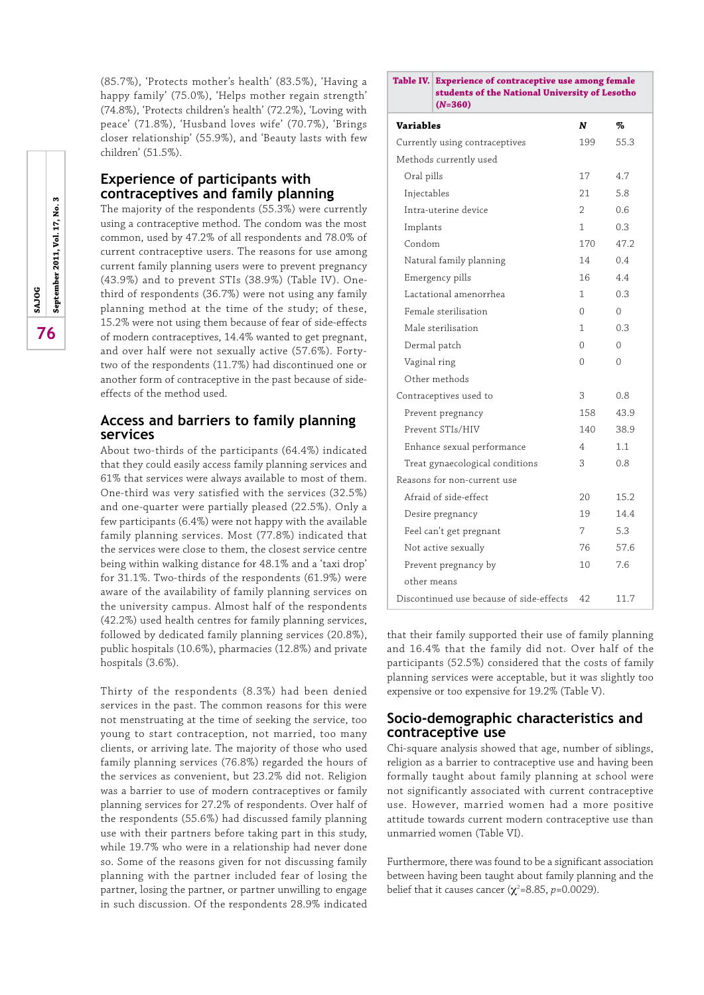(85.7%), 'Protects mother's health' (83.5%), 'Having a happy family' (75.0%), 'Helps mother regain strength' (74.8%), 'Protects children's health' (72.2%), 'Loving with peace' (71.8%), 'Husband loves wife' (70.7%), 'Brings closer relationship' (55.9%), and 'Beauty lasts with few children' (51.5%).

# **Experience of participants with contraceptives and family planning**

The majority of the respondents (55.3%) were currently using a contraceptive method. The condom was the most common, used by 47.2% of all respondents and 78.0% of current contraceptive users. The reasons for use among current family planning users were to prevent pregnancy (43.9%) and to prevent STIs (38.9%) (Table IV). Onethird of respondents (36.7%) were not using any family planning method at the time of the study; of these, 15.2% were not using them because of fear of side-effects of modern contraceptives, 14.4% wanted to get pregnant, and over half were not sexually active (57.6%). Fortytwo of the respondents (11.7%) had discontinued one or another form of contraceptive in the past because of sideeffects of the method used.

# **Access and barriers to family planning services**

About two-thirds of the participants (64.4%) indicated that they could easily access family planning services and 61% that services were always available to most of them. One-third was very satisfied with the services (32.5%) and one-quarter were partially pleased (22.5%). Only a few participants (6.4%) were not happy with the available family planning services. Most (77.8%) indicated that the services were close to them, the closest service centre being within walking distance for 48.1% and a 'taxi drop' for 31.1%. Two-thirds of the respondents (61.9%) were aware of the availability of family planning services on the university campus. Almost half of the respondents (42.2%) used health centres for family planning services, followed by dedicated family planning services (20.8%), public hospitals (10.6%), pharmacies (12.8%) and private hospitals (3.6%).

Thirty of the respondents (8.3%) had been denied services in the past. The common reasons for this were not menstruating at the time of seeking the service, too young to start contraception, not married, too many clients, or arriving late. The majority of those who used family planning services (76.8%) regarded the hours of the services as convenient, but 23.2% did not. Religion was a barrier to use of modern contraceptives or family planning services for 27.2% of respondents. Over half of the respondents (55.6%) had discussed family planning use with their partners before taking part in this study, while 19.7% who were in a relationship had never done so. Some of the reasons given for not discussing family planning with the partner included fear of losing the partner, losing the partner, or partner unwilling to engage in such discussion. Of the respondents 28.9% indicated

#### **Table IV. Experience of contraceptive use among female students of the National University of Lesotho (***N***=360)**

| <b>Variables</b>                         | N             | %    |
|------------------------------------------|---------------|------|
| Currently using contraceptives           | 199           | 55.3 |
| Methods currently used                   |               |      |
| Oral pills                               | 17            | 4.7  |
| Injectables                              | 21            | 5.8  |
| Intra-uterine device                     | $\mathcal{P}$ | 0.6  |
| Implants                                 | 1             | 0.3  |
| Condom                                   | 1.70          | 47.2 |
| Natural family planning                  | 14            | 0.4  |
| Emergency pills                          | 16            | 4.4  |
| Lactational amenorrhea                   | 1             | 0.3  |
| Female sterilisation                     | 0             | 0    |
| Male sterilisation                       | 1             | 0.3  |
| Dermal patch                             | $\Omega$      | 0    |
| Vaginal ring                             | 0             | 0    |
| Other methods                            |               |      |
| Contraceptives used to                   | 3             | 0.8  |
| Prevent pregnancy                        | 158           | 43.9 |
| Prevent STIs/HIV                         | 140           | 38.9 |
| Enhance sexual performance               | 4             | 1.1  |
| Treat gynaecological conditions          | 3             | 0.8  |
| Reasons for non-current use              |               |      |
| Afraid of side-effect                    | 20            | 15.2 |
| Desire pregnancy                         | 19            | 14.4 |
| Feel can't get pregnant                  | 7             | 5.3  |
| Not active sexually                      | 76            | 57.6 |
| Prevent pregnancy by                     | 10            | 7.6  |
| other means                              |               |      |
| Discontinued use because of side-effects | 42            | 11.7 |

that their family supported their use of family planning and 16.4% that the family did not. Over half of the participants (52.5%) considered that the costs of family planning services were acceptable, but it was slightly too expensive or too expensive for 19.2% (Table V).

# **Socio-demographic characteristics and contraceptive use**

Chi-square analysis showed that age, number of siblings, religion as a barrier to contraceptive use and having been formally taught about family planning at school were not significantly associated with current contraceptive use. However, married women had a more positive attitude towards current modern contraceptive use than unmarried women (Table VI).

Furthermore, there was found to be a significant association between having been taught about family planning and the belief that it causes cancer ( $\chi^2$ =8.85, *p*=0.0029).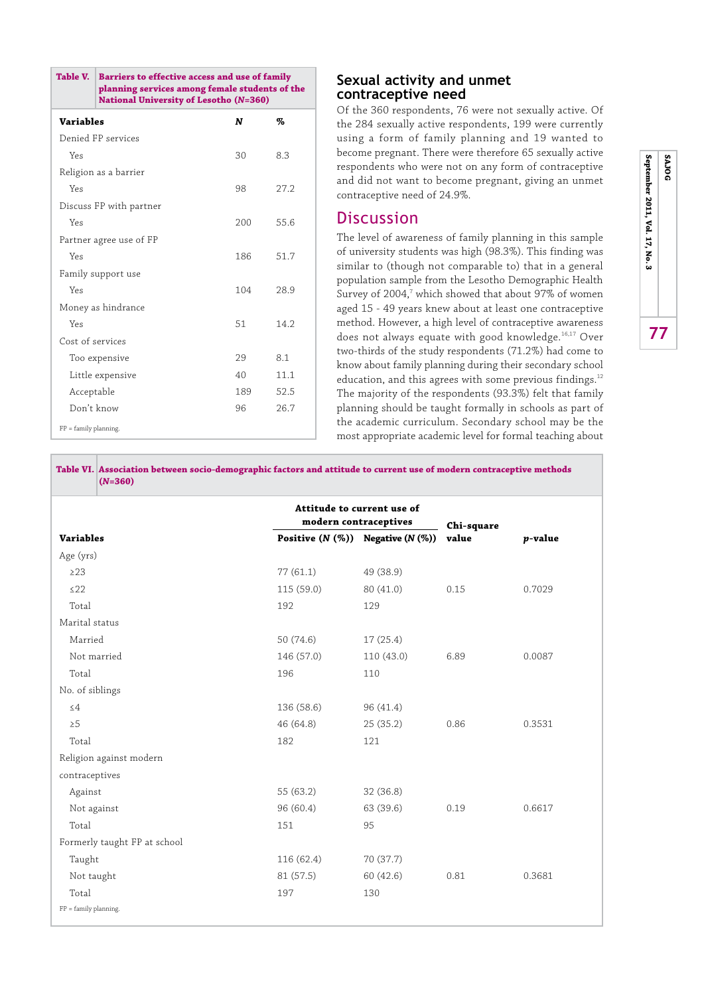| Table V.                 | Barriers to effective access and use of family<br>planning services among female students of the<br><b>National University of Lesotho (N=360)</b> |     |      |  |
|--------------------------|---------------------------------------------------------------------------------------------------------------------------------------------------|-----|------|--|
| <b>Variables</b>         |                                                                                                                                                   | N   | ‰    |  |
|                          | Denied FP services                                                                                                                                |     |      |  |
| Yes                      |                                                                                                                                                   | 30  | 8.3  |  |
|                          | Religion as a barrier                                                                                                                             |     |      |  |
| Yes                      |                                                                                                                                                   | 98  | 27.2 |  |
|                          | Discuss FP with partner                                                                                                                           |     |      |  |
| Yes                      |                                                                                                                                                   | 200 | 55.6 |  |
|                          | Partner agree use of FP                                                                                                                           |     |      |  |
| Yes                      |                                                                                                                                                   | 186 | 51.7 |  |
|                          | Family support use                                                                                                                                |     |      |  |
| Yes                      |                                                                                                                                                   | 104 | 28.9 |  |
|                          | Money as hindrance                                                                                                                                |     |      |  |
| Yes                      |                                                                                                                                                   | 51  | 14.2 |  |
| Cost of services         |                                                                                                                                                   |     |      |  |
|                          | Too expensive                                                                                                                                     | 29  | 8.1  |  |
|                          | Little expensive                                                                                                                                  | 40  | 11.1 |  |
| Acceptable               |                                                                                                                                                   | 189 | 52.5 |  |
| Don't know               |                                                                                                                                                   | 96  | 26.7 |  |
| $FP = family planning$ . |                                                                                                                                                   |     |      |  |

# **Sexual activity and unmet contraceptive need**

Of the 360 respondents, 76 were not sexually active. Of the 284 sexually active respondents, 199 were currently using a form of family planning and 19 wanted to become pregnant. There were therefore 65 sexually active respondents who were not on any form of contraceptive and did not want to become pregnant, giving an unmet contraceptive need of 24.9%.

# **Discussion**

The level of awareness of family planning in this sample of university students was high (98.3%). This finding was similar to (though not comparable to) that in a general population sample from the Lesotho Demographic Health Survey of 2004, $^7$  which showed that about 97% of women aged 15 - 49 years knew about at least one contraceptive method. However, a high level of contraceptive awareness does not always equate with good knowledge.<sup>16,17</sup> Over two-thirds of the study respondents (71.2%) had come to know about family planning during their secondary school education, and this agrees with some previous findings.<sup>12</sup> The majority of the respondents (93.3%) felt that family planning should be taught formally in schools as part of the academic curriculum. Secondary school may be the most appropriate academic level for formal teaching about

**Table VI. Association between socio-demographic factors and attitude to current use of modern contraceptive methods (***N***=360)**

|                              | Attitude to current use of<br>modern contraceptives |           | Chi-square |                 |  |
|------------------------------|-----------------------------------------------------|-----------|------------|-----------------|--|
| <b>Variables</b>             | Positive $(N (\%))$ Negative $(N (\%))$             |           | value      | <i>p</i> -value |  |
| Age (yrs)                    |                                                     |           |            |                 |  |
| $\geq$ 23                    | 77(61.1)                                            | 49 (38.9) |            |                 |  |
| ≤22                          | 115(59.0)                                           | 80 (41.0) | 0.15       | 0.7029          |  |
| Total                        | 192                                                 | 129       |            |                 |  |
| Marital status               |                                                     |           |            |                 |  |
| Married                      | 50 (74.6)                                           | 17 (25.4) |            |                 |  |
| Not married                  | 146 (57.0)                                          | 110(43.0) | 6.89       | 0.0087          |  |
| Total                        | 196                                                 | 110       |            |                 |  |
| No. of siblings              |                                                     |           |            |                 |  |
| $\leq$ 4                     | 136 (58.6)                                          | 96 (41.4) |            |                 |  |
| $\geq 5$                     | 46 (64.8)                                           | 25 (35.2) | 0.86       | 0.3531          |  |
| Total                        | 182                                                 | 121       |            |                 |  |
| Religion against modern      |                                                     |           |            |                 |  |
| contraceptives               |                                                     |           |            |                 |  |
| Against                      | 55 (63.2)                                           | 32 (36.8) |            |                 |  |
| Not against                  | 96 (60.4)                                           | 63 (39.6) | 0.19       | 0.6617          |  |
| Total                        | 151                                                 | 95        |            |                 |  |
| Formerly taught FP at school |                                                     |           |            |                 |  |
| Taught                       | 116 (62.4)                                          | 70 (37.7) |            |                 |  |
| Not taught                   | 81 (57.5)                                           | 60 (42.6) | 0.81       | 0.3681          |  |
| Total                        | 197                                                 | 130       |            |                 |  |
| $FP = family planning$ .     |                                                     |           |            |                 |  |
|                              |                                                     |           |            |                 |  |

September 2011, Vol. 17, No. 3 **SAJOG 77 September 2011, Vol. 17, No. 3 SAJOG** 77